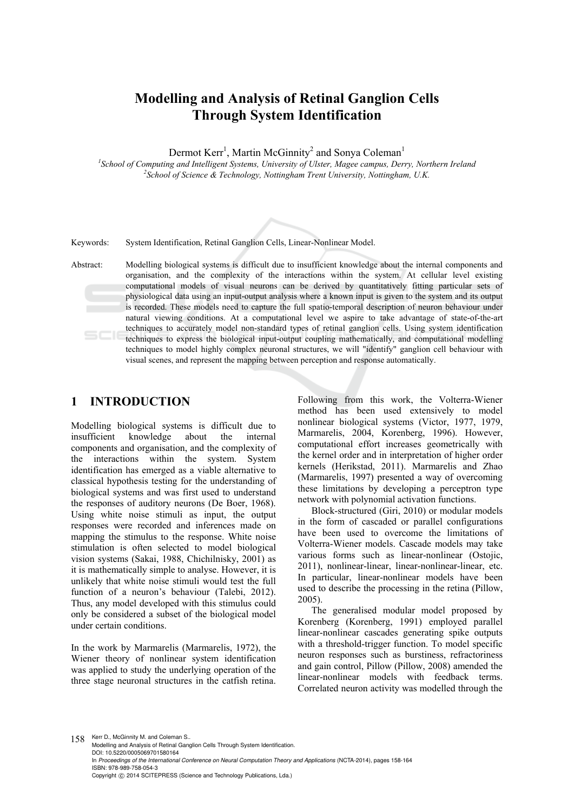# **Modelling and Analysis of Retinal Ganglion Cells Through System Identification**

Dermot Kerr<sup>1</sup>, Martin McGinnity<sup>2</sup> and Sonya Coleman<sup>1</sup>

<sup>1</sup><br>
<sup>1</sup>School of Computing and Intelligent Systems, University of Ulster, Magee campus, Derry, Northern Ireland <sup>2</sup>School of Science & Technology, Nottingham Trant University Nottingham II K *School of Science & Technology, Nottingham Trent University, Nottingham, U.K.* 

Keywords: System Identification, Retinal Ganglion Cells, Linear-Nonlinear Model.

Abstract: Modelling biological systems is difficult due to insufficient knowledge about the internal components and organisation, and the complexity of the interactions within the system. At cellular level existing computational models of visual neurons can be derived by quantitatively fitting particular sets of physiological data using an input-output analysis where a known input is given to the system and its output is recorded. These models need to capture the full spatio-temporal description of neuron behaviour under natural viewing conditions. At a computational level we aspire to take advantage of state-of-the-art techniques to accurately model non-standard types of retinal ganglion cells. Using system identification techniques to express the biological input-output coupling mathematically, and computational modelling techniques to model highly complex neuronal structures, we will "identify" ganglion cell behaviour with visual scenes, and represent the mapping between perception and response automatically.

## **1 INTRODUCTION**

Modelling biological systems is difficult due to insufficient knowledge about the internal components and organisation, and the complexity of the interactions within the system. System identification has emerged as a viable alternative to classical hypothesis testing for the understanding of biological systems and was first used to understand the responses of auditory neurons (De Boer, 1968). Using white noise stimuli as input, the output responses were recorded and inferences made on mapping the stimulus to the response. White noise stimulation is often selected to model biological vision systems (Sakai, 1988, Chichilnisky, 2001) as it is mathematically simple to analyse. However, it is unlikely that white noise stimuli would test the full function of a neuron's behaviour (Talebi, 2012). Thus, any model developed with this stimulus could only be considered a subset of the biological model under certain conditions.

In the work by Marmarelis (Marmarelis, 1972), the Wiener theory of nonlinear system identification was applied to study the underlying operation of the three stage neuronal structures in the catfish retina.

Following from this work, the Volterra-Wiener method has been used extensively to model nonlinear biological systems (Victor, 1977, 1979, Marmarelis, 2004, Korenberg, 1996). However, computational effort increases geometrically with the kernel order and in interpretation of higher order kernels (Herikstad, 2011). Marmarelis and Zhao (Marmarelis, 1997) presented a way of overcoming these limitations by developing a perceptron type network with polynomial activation functions.

Block-structured (Giri, 2010) or modular models in the form of cascaded or parallel configurations have been used to overcome the limitations of Volterra-Wiener models. Cascade models may take various forms such as linear-nonlinear (Ostojic, 2011), nonlinear-linear, linear-nonlinear-linear, etc. In particular, linear-nonlinear models have been used to describe the processing in the retina (Pillow, 2005).

The generalised modular model proposed by Korenberg (Korenberg, 1991) employed parallel linear-nonlinear cascades generating spike outputs with a threshold-trigger function. To model specific neuron responses such as burstiness, refractoriness and gain control, Pillow (Pillow, 2008) amended the linear-nonlinear models with feedback terms. Correlated neuron activity was modelled through the

158 Kerr D., McGinnity M. and Coleman S.. Modelling and Analysis of Retinal Ganglion Cells Through System Identification. DOI: 10.5220/0005069701580164 In *Proceedings of the International Conference on Neural Computation Theory and Applications* (NCTA-2014), pages 158-164 ISBN: 978-989-758-054-3 Copyright © 2014 SCITEPRESS (Science and Technology Publications, Lda.)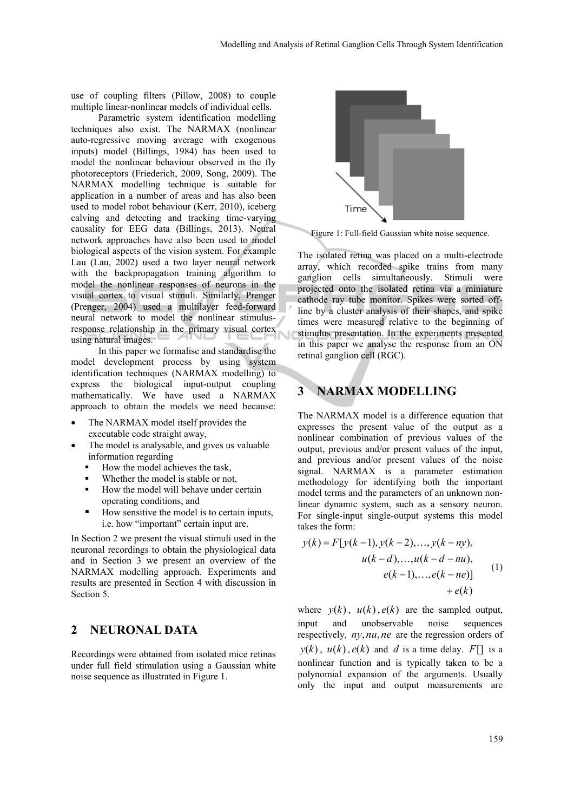use of coupling filters (Pillow, 2008) to couple multiple linear-nonlinear models of individual cells.

Parametric system identification modelling techniques also exist. The NARMAX (nonlinear auto-regressive moving average with exogenous inputs) model (Billings, 1984) has been used to model the nonlinear behaviour observed in the fly photoreceptors (Friederich, 2009, Song, 2009). The NARMAX modelling technique is suitable for application in a number of areas and has also been used to model robot behaviour (Kerr, 2010), iceberg calving and detecting and tracking time-varying causality for EEG data (Billings, 2013). Neural network approaches have also been used to model biological aspects of the vision system. For example Lau (Lau, 2002) used a two layer neural network with the backpropagation training algorithm to model the nonlinear responses of neurons in the visual cortex to visual stimuli. Similarly, Prenger (Prenger, 2004) used a multilayer feed-forward neural network to model the nonlinear stimulusresponse relationship in the primary visual cortex using natural images.

In this paper we formalise and standardise the model development process by using system identification techniques (NARMAX modelling) to express the biological input-output coupling mathematically. We have used a NARMAX approach to obtain the models we need because:

- The NARMAX model itself provides the executable code straight away,
- The model is analysable, and gives us valuable information regarding
	- How the model achieves the task,
	- Whether the model is stable or not,
	- How the model will behave under certain operating conditions, and
	- How sensitive the model is to certain inputs, i.e. how "important" certain input are.

In Section 2 we present the visual stimuli used in the neuronal recordings to obtain the physiological data and in Section 3 we present an overview of the NARMAX modelling approach. Experiments and results are presented in Section 4 with discussion in Section 5.

# **2 NEURONAL DATA**

Recordings were obtained from isolated mice retinas under full field stimulation using a Gaussian white noise sequence as illustrated in Figure 1.



Figure 1: Full-field Gaussian white noise sequence.

The isolated retina was placed on a multi-electrode array, which recorded spike trains from many ganglion cells simultaneously. Stimuli were projected onto the isolated retina via a miniature cathode ray tube monitor. Spikes were sorted offline by a cluster analysis of their shapes, and spike times were measured relative to the beginning of stimulus presentation. In the experiments presented in this paper we analyse the response from an ON retinal ganglion cell (RGC).

# **3 NARMAX MODELLING**

The NARMAX model is a difference equation that expresses the present value of the output as a nonlinear combination of previous values of the output, previous and/or present values of the input, and previous and/or present values of the noise signal. NARMAX is a parameter estimation methodology for identifying both the important model terms and the parameters of an unknown nonlinear dynamic system, such as a sensory neuron. For single-input single-output systems this model takes the form:

$$
y(k) = F[y(k-1), y(k-2), ..., y(k-ny),u(k-d), ..., u(k-d-nu),e(k-1), ..., e(k-ne)]
$$
 (1)  
+ e(k)

where  $y(k)$ ,  $u(k)$ ,  $e(k)$  are the sampled output, input and unobservable noise sequences respectively, *ny*,*nu*,*ne* are the regression orders of  $y(k)$ ,  $u(k)$ ,  $e(k)$  and *d* is a time delay. *F*[] is a nonlinear function and is typically taken to be a polynomial expansion of the arguments. Usually only the input and output measurements are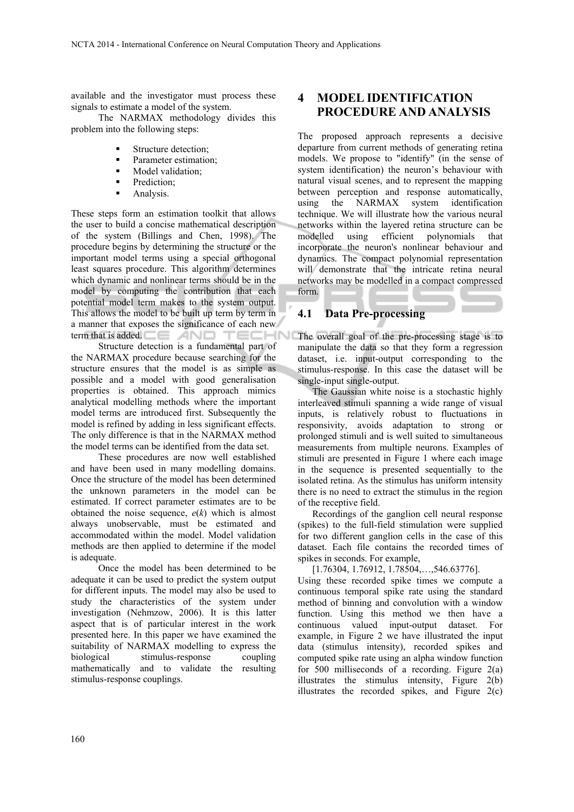available and the investigator must process these signals to estimate a model of the system.

The NARMAX methodology divides this problem into the following steps:

- Structure detection;
- Parameter estimation;
- Model validation;
- Prediction;
- Analysis.

These steps form an estimation toolkit that allows the user to build a concise mathematical description of the system (Billings and Chen, 1998). The procedure begins by determining the structure or the important model terms using a special orthogonal least squares procedure. This algorithm determines which dynamic and nonlinear terms should be in the model by computing the contribution that each potential model term makes to the system output. This allows the model to be built up term by term in a manner that exposes the significance of each new term that is added.  $\Box \Box$ TECHN

Structure detection is a fundamental part of the NARMAX procedure because searching for the structure ensures that the model is as simple as possible and a model with good generalisation properties is obtained. This approach mimics analytical modelling methods where the important model terms are introduced first. Subsequently the model is refined by adding in less significant effects. The only difference is that in the NARMAX method the model terms can be identified from the data set.

These procedures are now well established and have been used in many modelling domains. Once the structure of the model has been determined the unknown parameters in the model can be estimated. If correct parameter estimates are to be obtained the noise sequence,  $e(k)$  which is almost always unobservable, must be estimated and accommodated within the model. Model validation methods are then applied to determine if the model is adequate.

Once the model has been determined to be adequate it can be used to predict the system output for different inputs. The model may also be used to study the characteristics of the system under investigation (Nehmzow, 2006). It is this latter aspect that is of particular interest in the work presented here. In this paper we have examined the suitability of NARMAX modelling to express the biological stimulus-response coupling mathematically and to validate the resulting stimulus-response couplings.

# **4 MODEL IDENTIFICATION PROCEDURE AND ANALYSIS**

The proposed approach represents a decisive departure from current methods of generating retina models. We propose to "identify" (in the sense of system identification) the neuron's behaviour with natural visual scenes, and to represent the mapping between perception and response automatically, using the NARMAX system identification technique. We will illustrate how the various neural networks within the layered retina structure can be modelled using efficient polynomials that incorporate the neuron's nonlinear behaviour and dynamics. The compact polynomial representation will demonstrate that the intricate retina neural networks may be modelled in a compact compressed form.

## **4.1 Data Pre-processing**

The overall goal of the pre-processing stage is to manipulate the data so that they form a regression dataset, i.e. input-output corresponding to the stimulus-response. In this case the dataset will be single-input single-output.

The Gaussian white noise is a stochastic highly interleaved stimuli spanning a wide range of visual inputs, is relatively robust to fluctuations in responsivity, avoids adaptation to strong or prolonged stimuli and is well suited to simultaneous measurements from multiple neurons. Examples of stimuli are presented in Figure 1 where each image in the sequence is presented sequentially to the isolated retina. As the stimulus has uniform intensity there is no need to extract the stimulus in the region of the receptive field.

Recordings of the ganglion cell neural response (spikes) to the full-field stimulation were supplied for two different ganglion cells in the case of this dataset. Each file contains the recorded times of spikes in seconds. For example,

[1.76304, 1.76912, 1.78504,…,546.63776].

Using these recorded spike times we compute a continuous temporal spike rate using the standard method of binning and convolution with a window function. Using this method we then have a continuous valued input-output dataset. For example, in Figure 2 we have illustrated the input data (stimulus intensity), recorded spikes and computed spike rate using an alpha window function for 500 milliseconds of a recording. Figure  $2(a)$ illustrates the stimulus intensity, Figure 2(b) illustrates the recorded spikes, and Figure  $2(c)$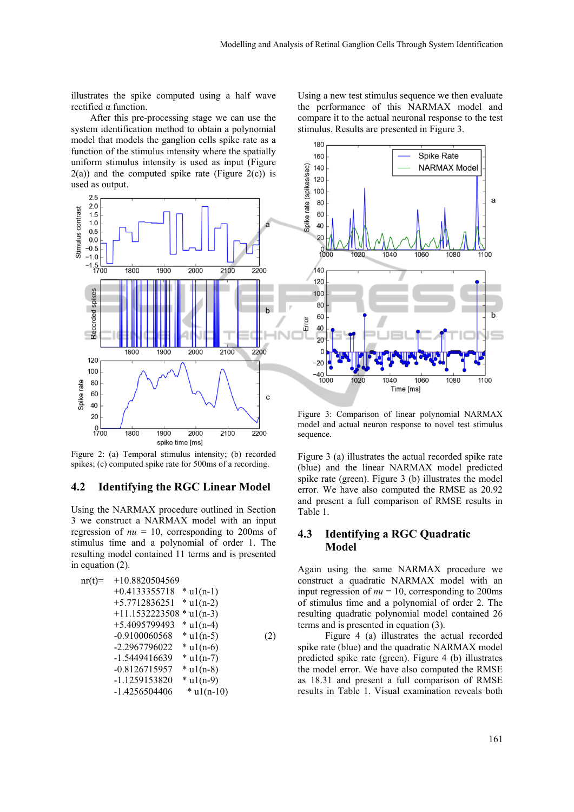illustrates the spike computed using a half wave rectified α function.

 After this pre-processing stage we can use the system identification method to obtain a polynomial model that models the ganglion cells spike rate as a function of the stimulus intensity where the spatially uniform stimulus intensity is used as input (Figure  $2(a)$ ) and the computed spike rate (Figure  $2(c)$ ) is used as output.



Figure 2: (a) Temporal stimulus intensity; (b) recorded spikes; (c) computed spike rate for 500ms of a recording.

#### **4.2 Identifying the RGC Linear Model**

Using the NARMAX procedure outlined in Section 3 we construct a NARMAX model with an input regression of  $nu = 10$ , corresponding to 200ms of stimulus time and a polynomial of order 1. The resulting model contained 11 terms and is presented in equation (2).

nr(t)= +10.8820504569 +0.4133355718 \* u1(n-1) +5.7712836251 \* u1(n-2) +11.1532223508 \* u1(n-3) +5.4095799493 \* u1(n-4) -0.9100060568 \* u1(n-5) -2.2967796022 \* u1(n-6) -1.5449416639 \* u1(n-7) -0.8126715957 \* u1(n-8) -1.1259153820 \* u1(n-9) -1.4256504406 \* u1(n-10) (2)

Using a new test stimulus sequence we then evaluate the performance of this NARMAX model and compare it to the actual neuronal response to the test stimulus. Results are presented in Figure 3.



Figure 3: Comparison of linear polynomial NARMAX model and actual neuron response to novel test stimulus sequence.

Figure 3 (a) illustrates the actual recorded spike rate (blue) and the linear NARMAX model predicted spike rate (green). Figure 3 (b) illustrates the model error. We have also computed the RMSE as 20.92 and present a full comparison of RMSE results in Table 1.

### **4.3 Identifying a RGC Quadratic Model**

Again using the same NARMAX procedure we construct a quadratic NARMAX model with an input regression of  $nu = 10$ , corresponding to 200ms of stimulus time and a polynomial of order 2. The resulting quadratic polynomial model contained 26 terms and is presented in equation (3).

Figure 4 (a) illustrates the actual recorded spike rate (blue) and the quadratic NARMAX model predicted spike rate (green). Figure 4 (b) illustrates the model error. We have also computed the RMSE as 18.31 and present a full comparison of RMSE results in Table 1. Visual examination reveals both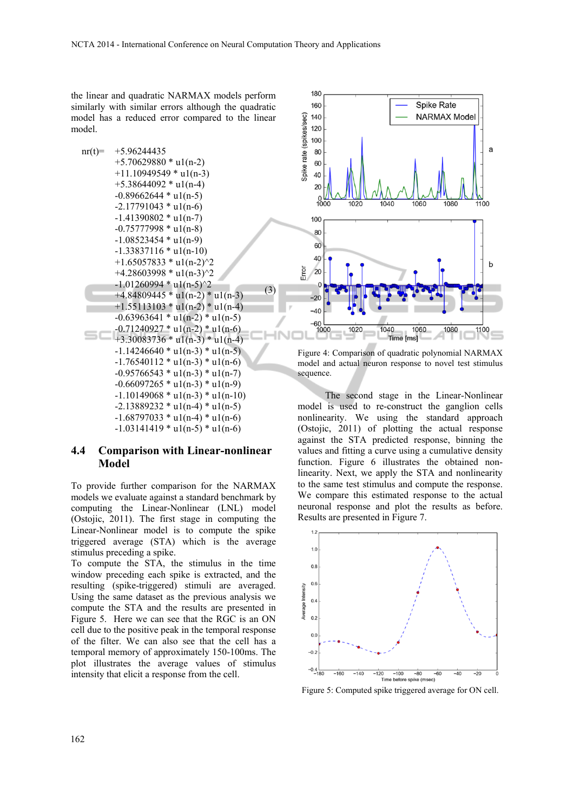the linear and quadratic NARMAX models perform similarly with similar errors although the quadratic model has a reduced error compared to the linear model.



#### **4.4 Comparison with Linear-nonlinear Model**

To provide further comparison for the NARMAX models we evaluate against a standard benchmark by computing the Linear-Nonlinear (LNL) model (Ostojic, 2011). The first stage in computing the Linear-Nonlinear model is to compute the spike triggered average (STA) which is the average stimulus preceding a spike.

To compute the STA, the stimulus in the time window preceding each spike is extracted, and the resulting (spike-triggered) stimuli are averaged. Using the same dataset as the previous analysis we compute the STA and the results are presented in Figure 5. Here we can see that the RGC is an ON cell due to the positive peak in the temporal response of the filter. We can also see that the cell has a temporal memory of approximately 150-100ms. The plot illustrates the average values of stimulus intensity that elicit a response from the cell.



Figure 4: Comparison of quadratic polynomial NARMAX model and actual neuron response to novel test stimulus sequence.

The second stage in the Linear-Nonlinear model is used to re-construct the ganglion cells nonlinearity. We using the standard approach (Ostojic, 2011) of plotting the actual response against the STA predicted response, binning the values and fitting a curve using a cumulative density function. Figure 6 illustrates the obtained nonlinearity. Next, we apply the STA and nonlinearity to the same test stimulus and compute the response. We compare this estimated response to the actual neuronal response and plot the results as before. Results are presented in Figure 7.



Figure 5: Computed spike triggered average for ON cell.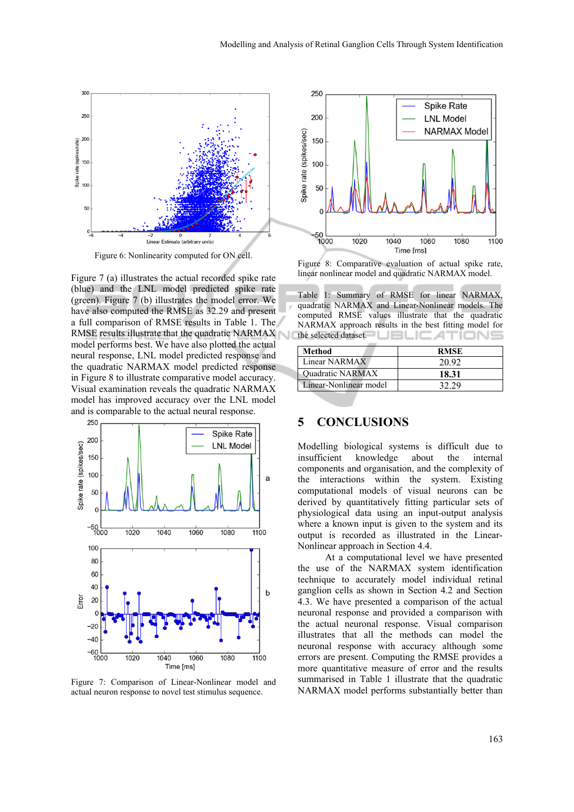

Figure 6: Nonlinearity computed for ON cell.

Figure 7 (a) illustrates the actual recorded spike rate (blue) and the LNL model predicted spike rate (green). Figure 7 (b) illustrates the model error. We have also computed the RMSE as 32.29 and present a full comparison of RMSE results in Table 1. The RMSE results illustrate that the quadratic NARMAX model performs best. We have also plotted the actual neural response, LNL model predicted response and the quadratic NARMAX model predicted response in Figure 8 to illustrate comparative model accuracy. Visual examination reveals the quadratic NARMAX model has improved accuracy over the LNL model and is comparable to the actual neural response.



Figure 7: Comparison of Linear-Nonlinear model and actual neuron response to novel test stimulus sequence.



Figure 8: Comparative evaluation of actual spike rate, linear nonlinear model and quadratic NARMAX model.

Table 1: Summary of RMSE for linear NARMAX, quadratic NARMAX and Linear-Nonlinear models. The computed RMSE values illustrate that the quadratic NARMAX approach results in the best fitting model for the selected dataset. UELICATIONS

| Method                  | <b>RMSE</b> |
|-------------------------|-------------|
| Linear NARMAX           | 20.92       |
| <b>Ouadratic NARMAX</b> | 18.31       |
| Linear-Nonlinear model  |             |

# **5 CONCLUSIONS**

Modelling biological systems is difficult due to insufficient knowledge about the internal components and organisation, and the complexity of the interactions within the system. Existing computational models of visual neurons can be derived by quantitatively fitting particular sets of physiological data using an input-output analysis where a known input is given to the system and its output is recorded as illustrated in the Linear-Nonlinear approach in Section 4.4.

At a computational level we have presented the use of the NARMAX system identification technique to accurately model individual retinal ganglion cells as shown in Section 4.2 and Section 4.3. We have presented a comparison of the actual neuronal response and provided a comparison with the actual neuronal response. Visual comparison illustrates that all the methods can model the neuronal response with accuracy although some errors are present. Computing the RMSE provides a more quantitative measure of error and the results summarised in Table 1 illustrate that the quadratic NARMAX model performs substantially better than